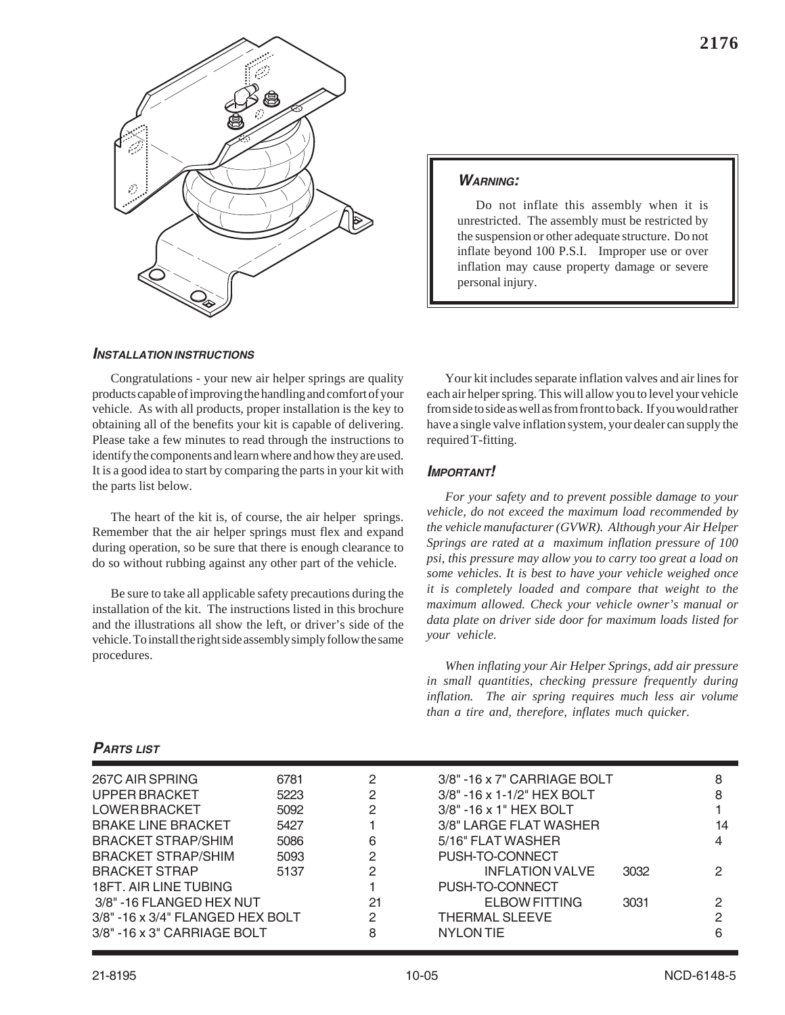

## *WARNING:*

Do not inflate this assembly when it is unrestricted. The assembly must be restricted by the suspension or other adequate structure. Do not inflate beyond 100 P.S.I. Improper use or over inflation may cause property damage or severe personal injury.

## *INSTALLATION INSTRUCTIONS*

Congratulations - your new air helper springs are quality products capable of improving the handling and comfort of your vehicle. As with all products, proper installation is the key to obtaining all of the benefits your kit is capable of delivering. Please take a few minutes to read through the instructions to identify the components and learn where and how they are used. It is a good idea to start by comparing the parts in your kit with the parts list below.

The heart of the kit is, of course, the air helper springs. Remember that the air helper springs must flex and expand during operation, so be sure that there is enough clearance to do so without rubbing against any other part of the vehicle.

Be sure to take all applicable safety precautions during the installation of the kit. The instructions listed in this brochure and the illustrations all show the left, or driver's side of the vehicle. To install the right side assembly simply follow the same procedures.

Your kit includes separate inflation valves and air lines for each air helper spring. This will allow you to level your vehicle from side to side as well as from front to back. If you would rather have a single valve inflation system, your dealer can supply the required T-fitting.

### *IMPORTANT!*

*For your safety and to prevent possible damage to your vehicle, do not exceed the maximum load recommended by the vehicle manufacturer (GVWR). Although your Air Helper Springs are rated at a maximum inflation pressure of 100 psi, this pressure may allow you to carry too great a load on some vehicles. It is best to have your vehicle weighed once it is completely loaded and compare that weight to the maximum allowed. Check your vehicle owner's manual or data plate on driver side door for maximum loads listed for your vehicle.*

*When inflating your Air Helper Springs, add air pressure in small quantities, checking pressure frequently during inflation. The air spring requires much less air volume than a tire and, therefore, inflates much quicker.*

## *PARTS LIST*

| 267C AIR SPRING                     | 6781 | 2  | $3/8" - 16 \times 7"$ CARRIAGE BOLT  |      | 8  |
|-------------------------------------|------|----|--------------------------------------|------|----|
| UPPER BRACKET                       | 5223 | 2  | $3/8" - 16 \times 1 - 1/2"$ HEX BOLT |      | 8  |
| LOWER BRACKET                       | 5092 | 2  | $3/8" - 16 \times 1"$ HEX BOLT       |      |    |
| <b>BRAKE LINE BRACKET</b>           | 5427 |    | 3/8" LARGE FLAT WASHER               |      | 14 |
| <b>BRACKET STRAP/SHIM</b>           | 5086 | 6  | 5/16" FLAT WASHER                    |      |    |
| <b>BRACKET STRAP/SHIM</b>           | 5093 | 2  | PUSH-TO-CONNECT                      |      |    |
| <b>BRACKET STRAP</b>                | 5137 | 2  | <b>INFLATION VALVE</b>               | 3032 | っ  |
| 18FT. AIR LINE TUBING               |      |    | PUSH-TO-CONNECT                      |      |    |
| 3/8" -16 FLANGED HEX NUT            |      | 21 | ELBOW FITTING                        | 3031 | 2  |
| 3/8" -16 x 3/4" FLANGED HEX BOLT    |      | 2  | <b>THERMAL SLEEVE</b>                |      | っ  |
| $3/8" - 16 \times 3"$ CARRIAGE BOLT |      | 8  | <b>NYLON TIE</b>                     |      |    |
|                                     |      |    |                                      |      |    |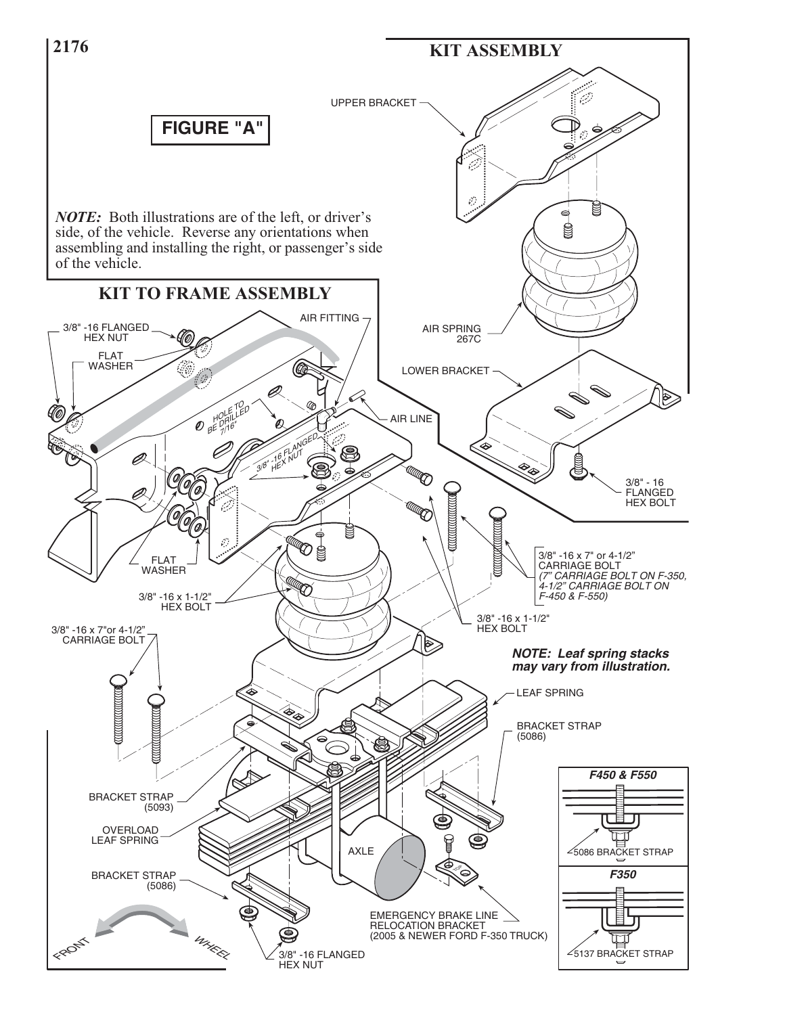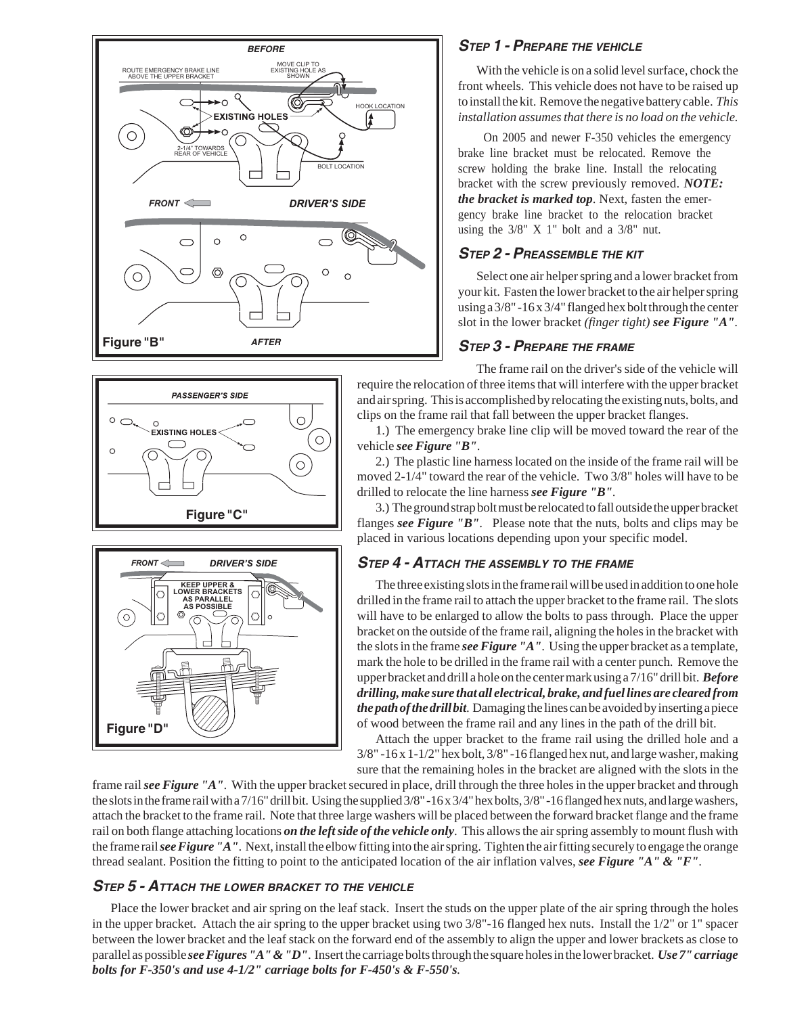





# *STEP 1 - PREPARE THE VEHICLE*

With the vehicle is on a solid level surface, chock the front wheels. This vehicle does not have to be raised up to install the kit. Remove the negative battery cable. *This installation assumes that there is no load on the vehicle.*

 On 2005 and newer F-350 vehicles the emergency brake line bracket must be relocated. Remove the screw holding the brake line. Install the relocating bracket with the screw previously removed. *NOTE: the bracket is marked top*. Next, fasten the emergency brake line bracket to the relocation bracket using the  $3/8$ " X 1" bolt and a  $3/8$ " nut.

## *STEP 2 - PREASSEMBLE THE KIT*

Select one air helper spring and a lower bracket from your kit. Fasten the lower bracket to the air helper spring using a 3/8" -16 x 3/4" flanged hex bolt through the center slot in the lower bracket *(finger tight) see Figure "A"*.

# *STEP 3 - PREPARE THE FRAME*

The frame rail on the driver's side of the vehicle will require the relocation of three items that will interfere with the upper bracket and air spring. This is accomplished by relocating the existing nuts, bolts, and clips on the frame rail that fall between the upper bracket flanges.

1.) The emergency brake line clip will be moved toward the rear of the vehicle *see Figure "B"*.

2.) The plastic line harness located on the inside of the frame rail will be moved 2-1/4" toward the rear of the vehicle. Two 3/8" holes will have to be drilled to relocate the line harness *see Figure "B"*.

3.) The ground strap bolt must be relocated to fall outside the upper bracket flanges *see Figure "B"*. Please note that the nuts, bolts and clips may be placed in various locations depending upon your specific model.

# *STEP 4 - ATTACH THE ASSEMBLY TO THE FRAME*

The three existing slots in the frame rail will be used in addition to one hole drilled in the frame rail to attach the upper bracket to the frame rail. The slots will have to be enlarged to allow the bolts to pass through. Place the upper bracket on the outside of the frame rail, aligning the holes in the bracket with the slots in the frame *see Figure "A"*. Using the upper bracket as a template, mark the hole to be drilled in the frame rail with a center punch. Remove the upper bracket and drill a hole on the center mark using a 7/16" drill bit. *Before drilling, make sure that all electrical, brake, and fuel lines are cleared from the path of the drill bit*. Damaging the lines can be avoided by inserting a piece of wood between the frame rail and any lines in the path of the drill bit.

Attach the upper bracket to the frame rail using the drilled hole and a 3/8" -16 x 1-1/2" hex bolt, 3/8" -16 flanged hex nut, and large washer, making sure that the remaining holes in the bracket are aligned with the slots in the

frame rail *see Figure "A"*. With the upper bracket secured in place, drill through the three holes in the upper bracket and through the slots in the frame rail with a 7/16" drill bit. Using the supplied 3/8" -16 x 3/4" hex bolts, 3/8" -16 flanged hex nuts, and large washers, attach the bracket to the frame rail. Note that three large washers will be placed between the forward bracket flange and the frame rail on both flange attaching locations *on the left side of the vehicle only*. This allows the air spring assembly to mount flush with the frame rail *see Figure "A"*. Next, install the elbow fitting into the air spring. Tighten the air fitting securely to engage the orange thread sealant. Position the fitting to point to the anticipated location of the air inflation valves, *see Figure "A" & "F"*.

## *STEP 5 - ATTACH THE LOWER BRACKET TO THE VEHICLE*

Place the lower bracket and air spring on the leaf stack. Insert the studs on the upper plate of the air spring through the holes in the upper bracket. Attach the air spring to the upper bracket using two 3/8"-16 flanged hex nuts. Install the 1/2" or 1" spacer between the lower bracket and the leaf stack on the forward end of the assembly to align the upper and lower brackets as close to parallel as possible *see Figures "A" & "D"*. Insert the carriage bolts through the square holes in the lower bracket. *Use 7" carriage bolts for F-350's and use 4-1/2" carriage bolts for F-450's & F-550's.*